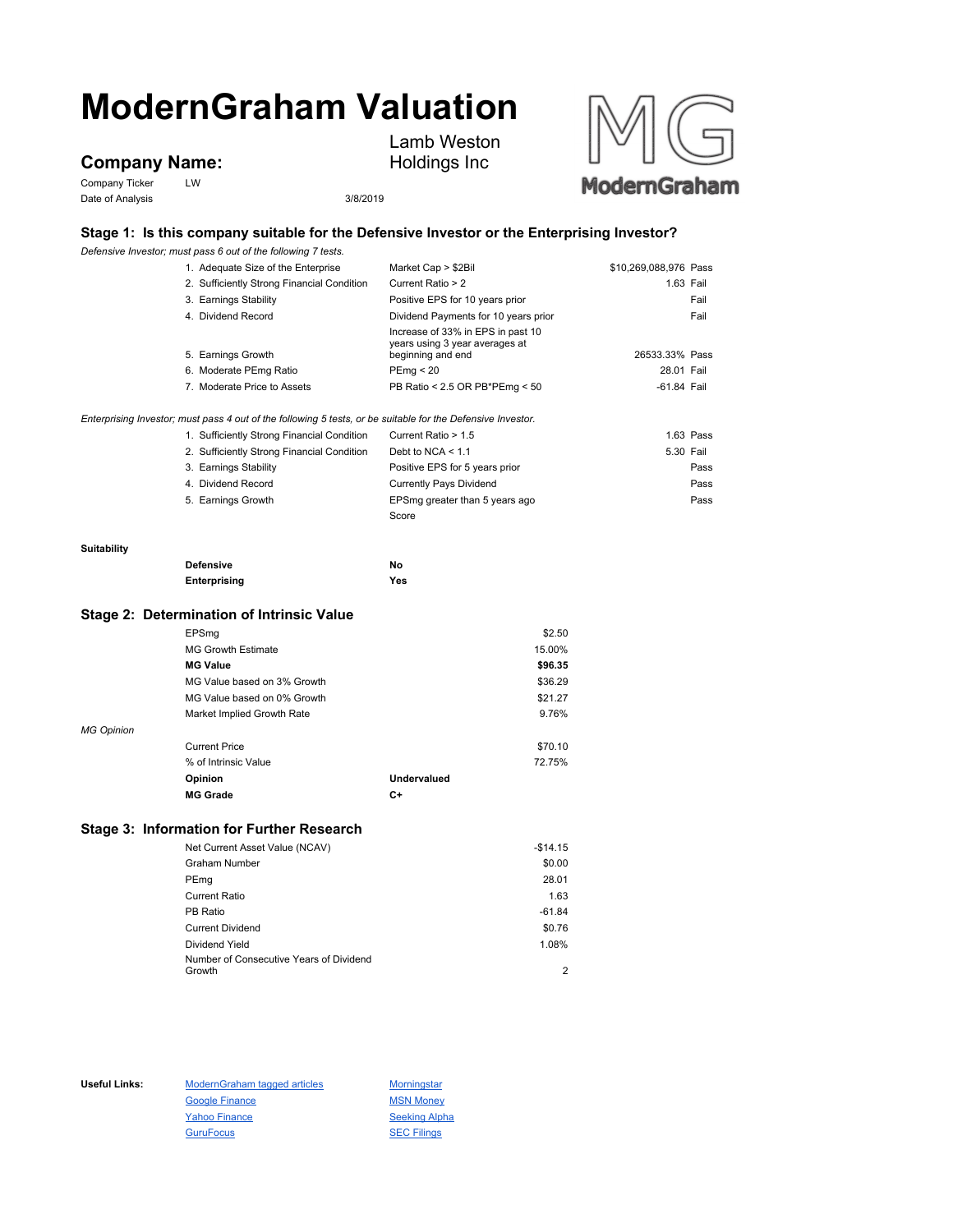# **ModernGraham Valuation**

## **Company Name:**

Company Ticker LW Date of Analysis 3/8/2019



Lamb Weston Holdings Inc

### **Stage 1: Is this company suitable for the Defensive Investor or the Enterprising Investor?**

*Defensive Investor; must pass 6 out of the following 7 tests.*

|                    | 1. Adequate Size of the Enterprise                                                                                                                                                                                                                                           | Market Cap > \$2Bil                                                                                                                                       | \$10,269,088,976 Pass |                                                |
|--------------------|------------------------------------------------------------------------------------------------------------------------------------------------------------------------------------------------------------------------------------------------------------------------------|-----------------------------------------------------------------------------------------------------------------------------------------------------------|-----------------------|------------------------------------------------|
|                    | 2. Sufficiently Strong Financial Condition                                                                                                                                                                                                                                   | Current Ratio > 2                                                                                                                                         |                       | 1.63 Fail                                      |
|                    | 3. Earnings Stability                                                                                                                                                                                                                                                        | Positive EPS for 10 years prior                                                                                                                           |                       | Fail                                           |
|                    | 4. Dividend Record                                                                                                                                                                                                                                                           | Dividend Payments for 10 years prior                                                                                                                      |                       | Fail                                           |
|                    | 5. Earnings Growth                                                                                                                                                                                                                                                           | Increase of 33% in EPS in past 10<br>years using 3 year averages at<br>beginning and end                                                                  | 26533.33% Pass        |                                                |
|                    | 6. Moderate PEmg Ratio                                                                                                                                                                                                                                                       | PEmg < 20                                                                                                                                                 | 28.01 Fail            |                                                |
|                    | 7. Moderate Price to Assets                                                                                                                                                                                                                                                  | PB Ratio < 2.5 OR PB*PEmg < 50                                                                                                                            | -61.84 Fail           |                                                |
|                    | Enterprising Investor; must pass 4 out of the following 5 tests, or be suitable for the Defensive Investor.<br>1. Sufficiently Strong Financial Condition<br>2. Sufficiently Strong Financial Condition<br>3. Earnings Stability<br>4. Dividend Record<br>5. Earnings Growth | Current Ratio > 1.5<br>Debt to NCA $<$ 1.1<br>Positive EPS for 5 years prior<br><b>Currently Pays Dividend</b><br>EPSmg greater than 5 years ago<br>Score |                       | 1.63 Pass<br>5.30 Fail<br>Pass<br>Pass<br>Pass |
|                    |                                                                                                                                                                                                                                                                              |                                                                                                                                                           |                       |                                                |
| <b>Suitability</b> |                                                                                                                                                                                                                                                                              |                                                                                                                                                           |                       |                                                |
|                    | <b>Defensive</b>                                                                                                                                                                                                                                                             | No                                                                                                                                                        |                       |                                                |
|                    | Enterprising                                                                                                                                                                                                                                                                 | Yes                                                                                                                                                       |                       |                                                |

#### **Stage 2: Determination of Intrinsic Value**

|                   | EPSmg                       |             | \$2.50  |
|-------------------|-----------------------------|-------------|---------|
|                   | <b>MG Growth Estimate</b>   |             | 15.00%  |
|                   | <b>MG Value</b>             |             | \$96.35 |
|                   | MG Value based on 3% Growth |             | \$36.29 |
|                   | MG Value based on 0% Growth |             | \$21.27 |
|                   | Market Implied Growth Rate  |             | 9.76%   |
| <b>MG Opinion</b> |                             |             |         |
|                   | <b>Current Price</b>        |             | \$70.10 |
|                   | % of Intrinsic Value        |             | 72.75%  |
|                   | Opinion                     | Undervalued |         |
|                   | <b>MG Grade</b>             | C+          |         |

### **Stage 3: Information for Further Research**

| Net Current Asset Value (NCAV)          | $-$14.15$ |
|-----------------------------------------|-----------|
| <b>Graham Number</b>                    | \$0.00    |
| PEmg                                    | 28.01     |
| <b>Current Ratio</b>                    | 1.63      |
| PB Ratio                                | $-61.84$  |
| <b>Current Dividend</b>                 | \$0.76    |
| Dividend Yield                          | 1.08%     |
| Number of Consecutive Years of Dividend |           |
| Growth                                  | 2         |

Useful Links: ModernGraham tagged articles Morningstar Google Finance MSN Money Yahoo Finance Seeking Alpha GuruFocus **SEC Filings**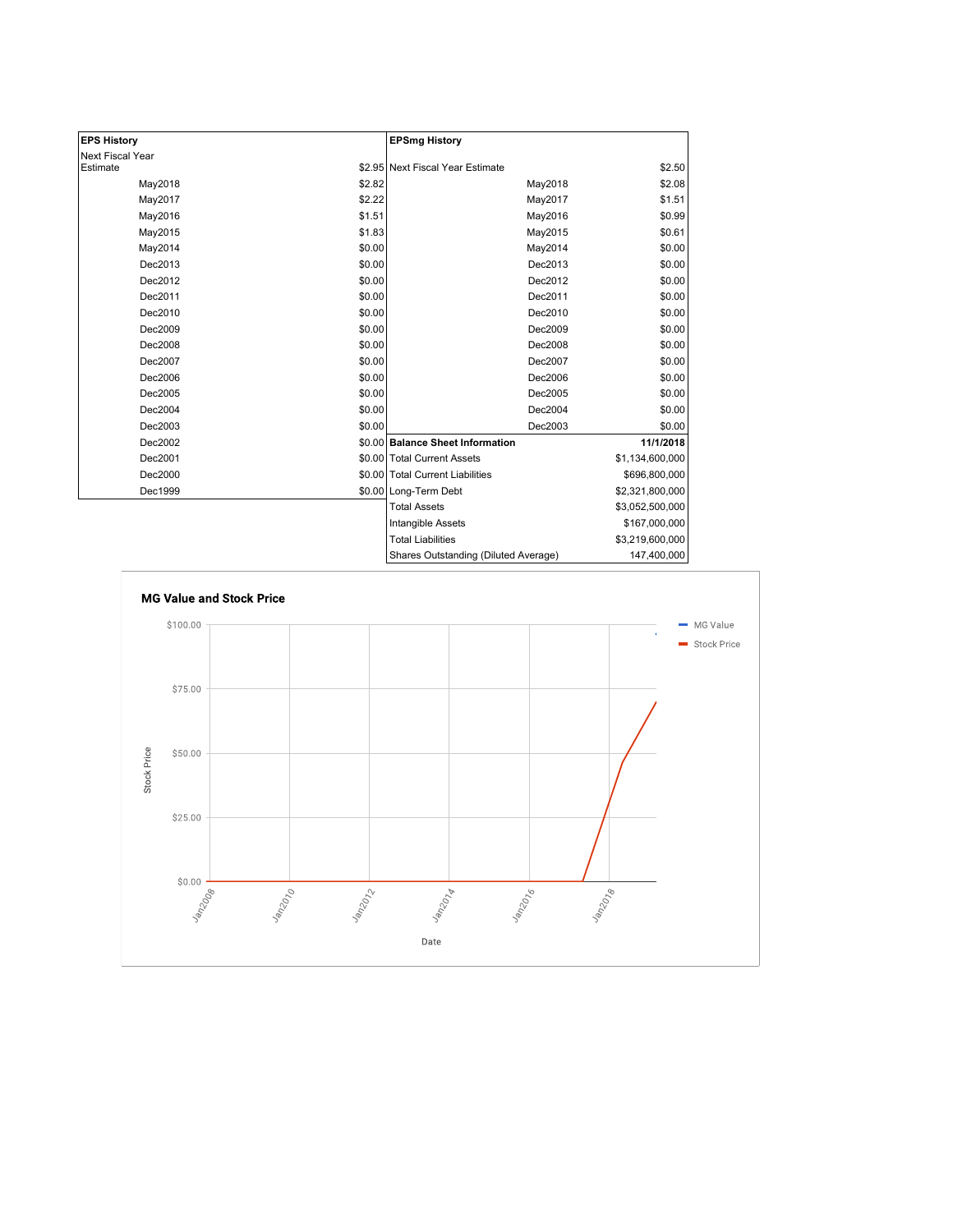| <b>EPS History</b> |        | <b>EPSmg History</b>                 |                 |
|--------------------|--------|--------------------------------------|-----------------|
| Next Fiscal Year   |        |                                      |                 |
| Estimate           |        | \$2.95 Next Fiscal Year Estimate     | \$2.50          |
| May2018            | \$2.82 | May2018                              | \$2.08          |
| May2017            | \$2.22 | May2017                              | \$1.51          |
| May2016            | \$1.51 | May2016                              | \$0.99          |
| May2015            | \$1.83 | May2015                              | \$0.61          |
| May2014            | \$0.00 | May2014                              | \$0.00          |
| Dec2013            | \$0.00 | Dec2013                              | \$0.00          |
| Dec2012            | \$0.00 | Dec2012                              | \$0.00          |
| Dec2011            | \$0.00 | Dec2011                              | \$0.00          |
| Dec2010            | \$0.00 | Dec2010                              | \$0.00          |
| Dec2009            | \$0.00 | Dec2009                              | \$0.00          |
| Dec2008            | \$0.00 | Dec2008                              | \$0.00          |
| Dec2007            | \$0.00 | Dec2007                              | \$0.00          |
| Dec2006            | \$0.00 | Dec2006                              | \$0.00          |
| Dec2005            | \$0.00 | Dec2005                              | \$0.00          |
| Dec2004            | \$0.00 | Dec2004                              | \$0.00          |
| Dec2003            | \$0.00 | Dec2003                              | \$0.00          |
| Dec2002            |        | \$0.00 Balance Sheet Information     | 11/1/2018       |
| Dec2001            |        | \$0.00 Total Current Assets          | \$1,134,600,000 |
| Dec2000            |        | \$0.00 Total Current Liabilities     | \$696,800,000   |
| Dec1999            |        | \$0.00 Long-Term Debt                | \$2,321,800,000 |
|                    |        | <b>Total Assets</b>                  | \$3,052,500,000 |
|                    |        | Intangible Assets                    | \$167,000,000   |
|                    |        | <b>Total Liabilities</b>             | \$3,219,600,000 |
|                    |        | Shares Outstanding (Diluted Average) | 147,400,000     |